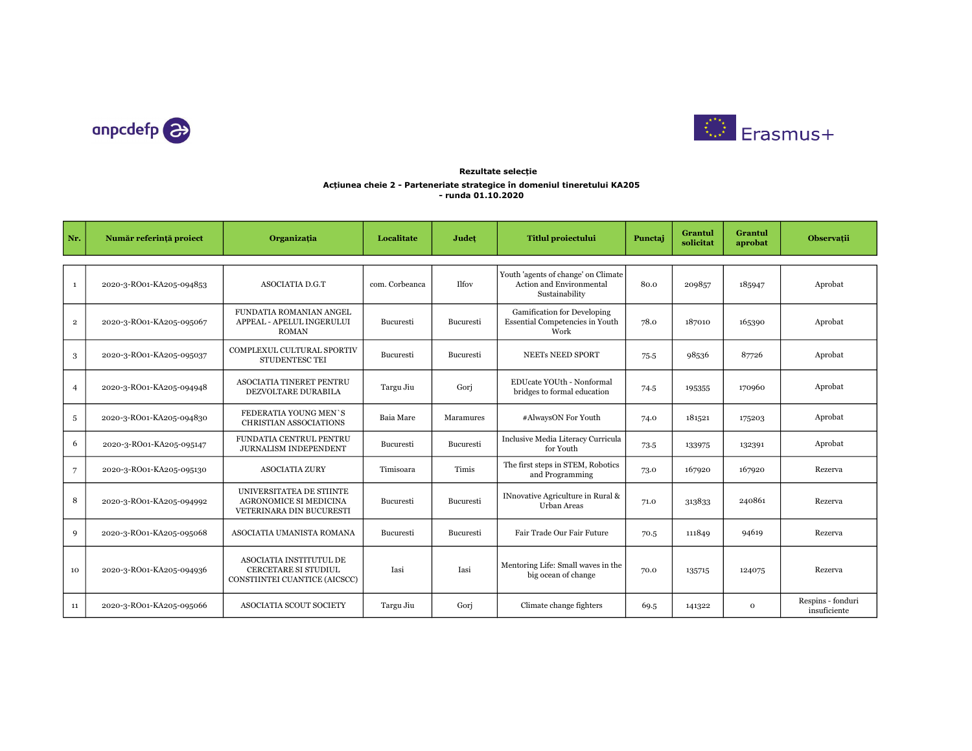



## Acțiunea cheie 2 - Parteneriate strategice în domeniul tineretului KA205 - runda 01.10.2020 Rezultate selecție

| Nr.             | Număr referință proiect  | Organizația                                                                                    | Localitate     | Judet        | <b>Titlul proiectului</b>                                                         | Punctai | <b>Grantul</b><br>solicitat | Grantul<br>aprobat | <b>Observatii</b>                 |
|-----------------|--------------------------|------------------------------------------------------------------------------------------------|----------------|--------------|-----------------------------------------------------------------------------------|---------|-----------------------------|--------------------|-----------------------------------|
| $\mathbf{1}$    | 2020-3-RO01-KA205-094853 | <b>ASOCIATIA D.G.T</b>                                                                         | com. Corbeanca | <b>Ilfoy</b> | Youth 'agents of change' on Climate<br>Action and Environmental<br>Sustainability | 80.0    | 209857                      | 185947             | Aprobat                           |
| $\overline{2}$  | 2020-3-RO01-KA205-095067 | FUNDATIA ROMANIAN ANGEL<br>APPEAL - APELUL INGERULUI<br><b>ROMAN</b>                           | Bucuresti      | Bucuresti    | Gamification for Developing<br>Essential Competencies in Youth<br>Work            | 78.0    | 187010                      | 165390             | Aprobat                           |
| 3               | 2020-3-RO01-KA205-095037 | COMPLEXUL CULTURAL SPORTIV<br>STUDENTESC TEI                                                   | Bucuresti      | Bucuresti    | NEETs NEED SPORT                                                                  | 75.5    | 98536                       | 87726              | Aprobat                           |
| $\overline{4}$  | 2020-3-RO01-KA205-094948 | ASOCIATIA TINERET PENTRU<br>DEZVOLTARE DURABILA                                                | Targu Jiu      | Gori         | EDUcate YOUth - Nonformal<br>bridges to formal education                          | 74.5    | 195355                      | 170960             | Aprobat                           |
| 5               | 2020-3-RO01-KA205-094830 | FEDERATIA YOUNG MEN'S<br>CHRISTIAN ASSOCIATIONS                                                | Baia Mare      | Maramures    | #AlwaysON For Youth                                                               | 74.0    | 181521                      | 175203             | Aprobat                           |
| 6               | 2020-3-RO01-KA205-095147 | FUNDATIA CENTRUL PENTRU<br>JURNALISM INDEPENDENT                                               | Bucuresti      | Bucuresti    | Inclusive Media Literacy Curricula<br>for Youth                                   | 73.5    | 133975                      | 132391             | Aprobat                           |
| $7\overline{ }$ | 2020-3-RO01-KA205-095130 | <b>ASOCIATIA ZURY</b>                                                                          | Timisoara      | Timis        | The first steps in STEM, Robotics<br>and Programming                              | 73.0    | 167920                      | 167920             | Rezerva                           |
| 8               | 2020-3-RO01-KA205-094992 | UNIVERSITATEA DE STIINTE<br>AGRONOMICE SI MEDICINA<br>VETERINARA DIN BUCURESTI                 | Bucuresti      | Bucuresti    | INnovative Agriculture in Rural &<br>Urban Areas                                  | 71.0    | 313833                      | 240861             | Rezerva                           |
| 9               | 2020-3-RO01-KA205-095068 | ASOCIATIA UMANISTA ROMANA                                                                      | Bucuresti      | Bucuresti    | Fair Trade Our Fair Future                                                        | 70.5    | 111849                      | 94619              | Rezerva                           |
| 10              | 2020-3-RO01-KA205-094936 | <b>ASOCIATIA INSTITUTUL DE</b><br><b>CERCETARE SI STUDIUL</b><br>CONSTIINTEI CUANTICE (AICSCC) | Iasi           | Iasi         | Mentoring Life: Small waves in the<br>big ocean of change                         | 70.0    | 135715                      | 124075             | Rezerva                           |
| 11              | 2020-3-RO01-KA205-095066 | <b>ASOCIATIA SCOUT SOCIETY</b>                                                                 | Targu Jiu      | Gori         | Climate change fighters                                                           | 69.5    | 141322                      | $\mathbf{O}$       | Respins - fonduri<br>insuficiente |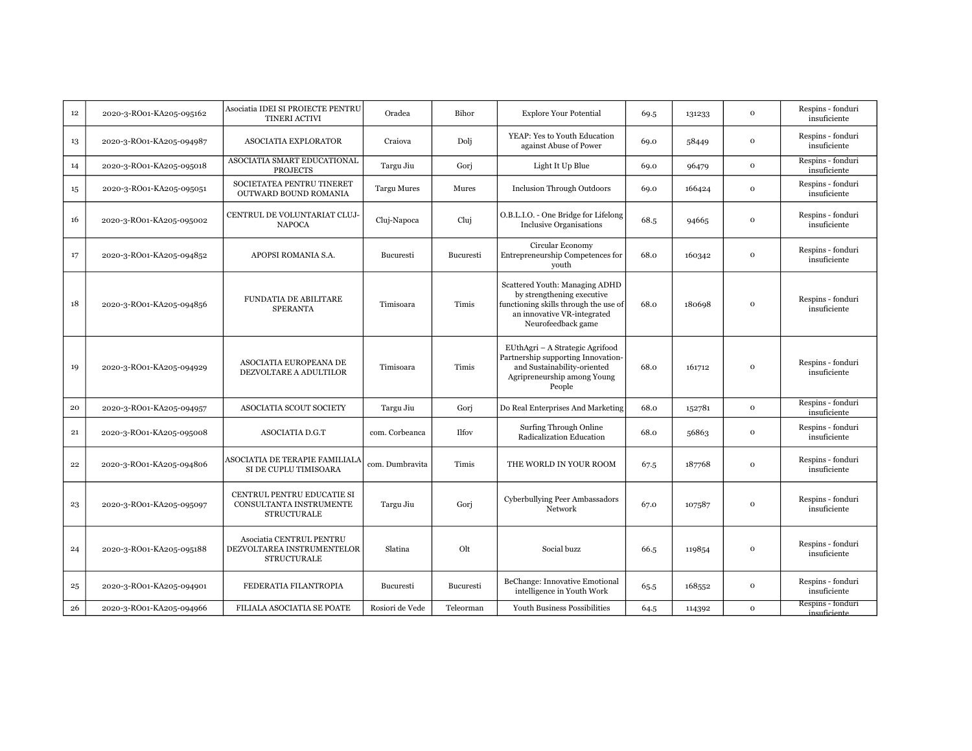| 12 | 2020-3-RO01-KA205-095162 | Asociatia IDEI SI PROIECTE PENTRU<br><b>TINERI ACTIVI</b>                    | Oradea             | Bihor        | <b>Explore Your Potential</b>                                                                                                                              | 69.5 | 131233 | $\mathbf 0$  | Respins - fonduri<br>insuficiente |
|----|--------------------------|------------------------------------------------------------------------------|--------------------|--------------|------------------------------------------------------------------------------------------------------------------------------------------------------------|------|--------|--------------|-----------------------------------|
| 13 | 2020-3-RO01-KA205-094987 | <b>ASOCIATIA EXPLORATOR</b>                                                  | Craiova            | Doli         | YEAP: Yes to Youth Education<br>against Abuse of Power                                                                                                     | 69.0 | 58449  | $\mathbf 0$  | Respins - fonduri<br>insuficiente |
| 14 | 2020-3-RO01-KA205-095018 | ASOCIATIA SMART EDUCATIONAL<br><b>PROJECTS</b>                               | Targu Jiu          | Gorj         | Light It Up Blue                                                                                                                                           | 69.0 | 96479  | $\mathbf{o}$ | Respins - fonduri<br>insuficiente |
| 15 | 2020-3-RO01-KA205-095051 | SOCIETATEA PENTRU TINERET<br>OUTWARD BOUND ROMANIA                           | <b>Targu Mures</b> | Mures        | <b>Inclusion Through Outdoors</b>                                                                                                                          | 69.0 | 166424 | $\mathbf{o}$ | Respins - fonduri<br>insuficiente |
| 16 | 2020-3-RO01-KA205-095002 | CENTRUL DE VOLUNTARIAT CLUJ-<br><b>NAPOCA</b>                                | Cluj-Napoca        | Cluj         | O.B.L.I.O. - One Bridge for Lifelong<br><b>Inclusive Organisations</b>                                                                                     | 68.5 | 94665  | $\mathbf{o}$ | Respins - fonduri<br>insuficiente |
| 17 | 2020-3-RO01-KA205-094852 | APOPSI ROMANIA S.A.                                                          | Bucuresti          | Bucuresti    | Circular Economy<br>Entrepreneurship Competences for<br>youth                                                                                              | 68.0 | 160342 | $\mathbf{o}$ | Respins - fonduri<br>insuficiente |
| 18 | 2020-3-RO01-KA205-094856 | FUNDATIA DE ABILITARE<br><b>SPERANTA</b>                                     | Timisoara          | Timis        | Scattered Youth: Managing ADHD<br>by strengthening executive<br>functioning skills through the use of<br>an innovative VR-integrated<br>Neurofeedback game | 68.0 | 180698 | $\mathbf 0$  | Respins - fonduri<br>insuficiente |
| 19 | 2020-3-RO01-KA205-094929 | ASOCIATIA EUROPEANA DE<br>DEZVOLTARE A ADULTILOR                             | Timisoara          | Timis        | EUthAgri - A Strategic Agrifood<br>Partnership supporting Innovation-<br>and Sustainability-oriented<br>Agripreneurship among Young<br>People              | 68.0 | 161712 | $\mathbf{o}$ | Respins - fonduri<br>insuficiente |
| 20 | 2020-3-RO01-KA205-094957 | ASOCIATIA SCOUT SOCIETY                                                      | Targu Jiu          | Gorj         | Do Real Enterprises And Marketing                                                                                                                          | 68.0 | 152781 | $\mathbf{o}$ | Respins - fonduri<br>insuficiente |
| 21 | 2020-3-RO01-KA205-095008 | <b>ASOCIATIA D.G.T</b>                                                       | com. Corbeanca     | <b>Ilfov</b> | Surfing Through Online<br>Radicalization Education                                                                                                         | 68.0 | 56863  | $\mathbf{o}$ | Respins - fonduri<br>insuficiente |
| 22 | 2020-3-RO01-KA205-094806 | ASOCIATIA DE TERAPIE FAMILIALA<br>SI DE CUPLU TIMISOARA                      | com. Dumbravita    | Timis        | THE WORLD IN YOUR ROOM                                                                                                                                     | 67.5 | 187768 | $\mathbf 0$  | Respins - fonduri<br>insuficiente |
| 23 | 2020-3-RO01-KA205-095097 | CENTRUL PENTRU EDUCATIE SI<br>CONSULTANTA INSTRUMENTE<br><b>STRUCTURALE</b>  | Targu Jiu          | Gori         | Cyberbullying Peer Ambassadors<br>Network                                                                                                                  | 67.0 | 107587 | $\mathbf{o}$ | Respins - fonduri<br>insuficiente |
| 24 | 2020-3-RO01-KA205-095188 | Asociatia CENTRUL PENTRU<br>DEZVOLTAREA INSTRUMENTELOR<br><b>STRUCTURALE</b> | Slatina            | Olt          | Social buzz                                                                                                                                                | 66.5 | 119854 | $\mathbf 0$  | Respins - fonduri<br>insuficiente |
| 25 | 2020-3-RO01-KA205-094901 | FEDERATIA FILANTROPIA                                                        | Bucuresti          | Bucuresti    | BeChange: Innovative Emotional<br>intelligence in Youth Work                                                                                               | 65.5 | 168552 | $\mathbf 0$  | Respins - fonduri<br>insuficiente |
| 26 | 2020-3-RO01-KA205-094966 | <b>FILIALA ASOCIATIA SE POATE</b>                                            | Rosiori de Vede    | Teleorman    | Youth Business Possibilities                                                                                                                               | 64.5 | 114392 | $\mathbf{o}$ | Respins - fonduri<br>insuficiente |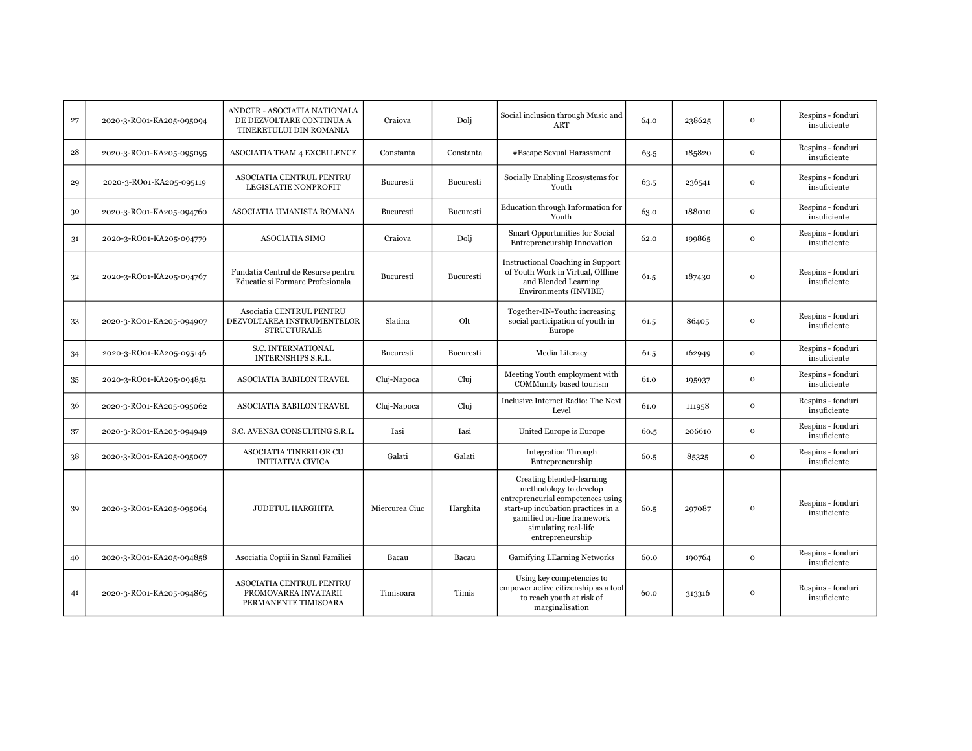| 27 | 2020-3-RO01-KA205-095094 | ANDCTR - ASOCIATIA NATIONALA<br>DE DEZVOLTARE CONTINUA A<br>TINERETULUI DIN ROMANIA | Craiova          | Doli      | Social inclusion through Music and<br><b>ART</b>                                                                                                                                                         | 64.0 | 238625 | $\mathbf 0$  | Respins - fonduri<br>insuficiente |
|----|--------------------------|-------------------------------------------------------------------------------------|------------------|-----------|----------------------------------------------------------------------------------------------------------------------------------------------------------------------------------------------------------|------|--------|--------------|-----------------------------------|
| 28 | 2020-3-RO01-KA205-095095 | ASOCIATIA TEAM 4 EXCELLENCE                                                         | Constanta        | Constanta | #Escape Sexual Harassment                                                                                                                                                                                | 63.5 | 185820 | $\mathbf{o}$ | Respins - fonduri<br>insuficiente |
| 29 | 2020-3-RO01-KA205-095119 | ASOCIATIA CENTRUL PENTRU<br><b>LEGISLATIE NONPROFIT</b>                             | <b>Bucuresti</b> | Bucuresti | Socially Enabling Ecosystems for<br>Youth                                                                                                                                                                | 63.5 | 236541 | $\mathbf{o}$ | Respins - fonduri<br>insuficiente |
| 30 | 2020-3-RO01-KA205-094760 | ASOCIATIA UMANISTA ROMANA                                                           | Bucuresti        | Bucuresti | <b>Education through Information for</b><br>Youth                                                                                                                                                        | 63.0 | 188010 | $\mathbf 0$  | Respins - fonduri<br>insuficiente |
| 31 | 2020-3-RO01-KA205-094779 | <b>ASOCIATIA SIMO</b>                                                               | Craiova          | Dolj      | Smart Opportunities for Social<br>Entrepreneurship Innovation                                                                                                                                            | 62.0 | 199865 | $\mathbf{o}$ | Respins - fonduri<br>insuficiente |
| 32 | 2020-3-RO01-KA205-094767 | Fundatia Centrul de Resurse pentru<br>Educatie si Formare Profesionala              | Bucuresti        | Bucuresti | <b>Instructional Coaching in Support</b><br>of Youth Work in Virtual, Offline<br>and Blended Learning<br>Environments (INVIBE)                                                                           | 61.5 | 187430 | $\mathbf{o}$ | Respins - fonduri<br>insuficiente |
| 33 | 2020-3-RO01-KA205-094907 | Asociatia CENTRUL PENTRU<br>DEZVOLTAREA INSTRUMENTELOR<br><b>STRUCTURALE</b>        | Slatina          | Olt       | Together-IN-Youth: increasing<br>social participation of youth in<br>Europe                                                                                                                              | 61.5 | 86405  | $\mathbf 0$  | Respins - fonduri<br>insuficiente |
| 34 | 2020-3-RO01-KA205-095146 | S.C. INTERNATIONAL<br><b>INTERNSHIPS S.R.L.</b>                                     | Bucuresti        | Bucuresti | Media Literacy                                                                                                                                                                                           | 61.5 | 162949 | $\mathbf 0$  | Respins - fonduri<br>insuficiente |
| 35 | 2020-3-RO01-KA205-094851 | <b>ASOCIATIA BABILON TRAVEL</b>                                                     | Cluj-Napoca      | Cluj      | Meeting Youth employment with<br>COMMunity based tourism                                                                                                                                                 | 61.0 | 195937 | $\mathbf 0$  | Respins - fonduri<br>insuficiente |
| 36 | 2020-3-RO01-KA205-095062 | ASOCIATIA BABILON TRAVEL                                                            | Cluj-Napoca      | Clui      | Inclusive Internet Radio: The Next<br>Level                                                                                                                                                              | 61.0 | 111958 | $\mathbf 0$  | Respins - fonduri<br>insuficiente |
| 37 | 2020-3-RO01-KA205-094949 | S.C. AVENSA CONSULTING S.R.L.                                                       | Iasi             | Iasi      | United Europe is Europe                                                                                                                                                                                  | 60.5 | 206610 | $\mathbf 0$  | Respins - fonduri<br>insuficiente |
| 38 | 2020-3-RO01-KA205-095007 | <b>ASOCIATIA TINERILOR CU</b><br><b>INITIATIVA CIVICA</b>                           | Galati           | Galati    | <b>Integration Through</b><br>Entrepreneurship                                                                                                                                                           | 60.5 | 85325  | $\mathbf{o}$ | Respins - fonduri<br>insuficiente |
| 39 | 2020-3-RO01-KA205-095064 | <b>JUDETUL HARGHITA</b>                                                             | Miercurea Ciuc   | Harghita  | Creating blended-learning<br>methodology to develop<br>entrepreneurial competences using<br>start-up incubation practices in a<br>gamified on-line framework<br>simulating real-life<br>entrepreneurship | 60.5 | 297087 | $\mathbf 0$  | Respins - fonduri<br>insuficiente |
| 40 | 2020-3-RO01-KA205-094858 | Asociatia Copiii in Sanul Familiei                                                  | Bacau            | Bacau     | Gamifying LEarning Networks                                                                                                                                                                              | 60.0 | 190764 | $\mathbf 0$  | Respins - fonduri<br>insuficiente |
| 41 | 2020-3-RO01-KA205-094865 | ASOCIATIA CENTRUL PENTRU<br>PROMOVAREA INVATARII<br>PERMANENTE TIMISOARA            | Timisoara        | Timis     | Using key competencies to<br>empower active citizenship as a tool<br>to reach youth at risk of<br>marginalisation                                                                                        | 60.0 | 313316 | $\mathbf{o}$ | Respins - fonduri<br>insuficiente |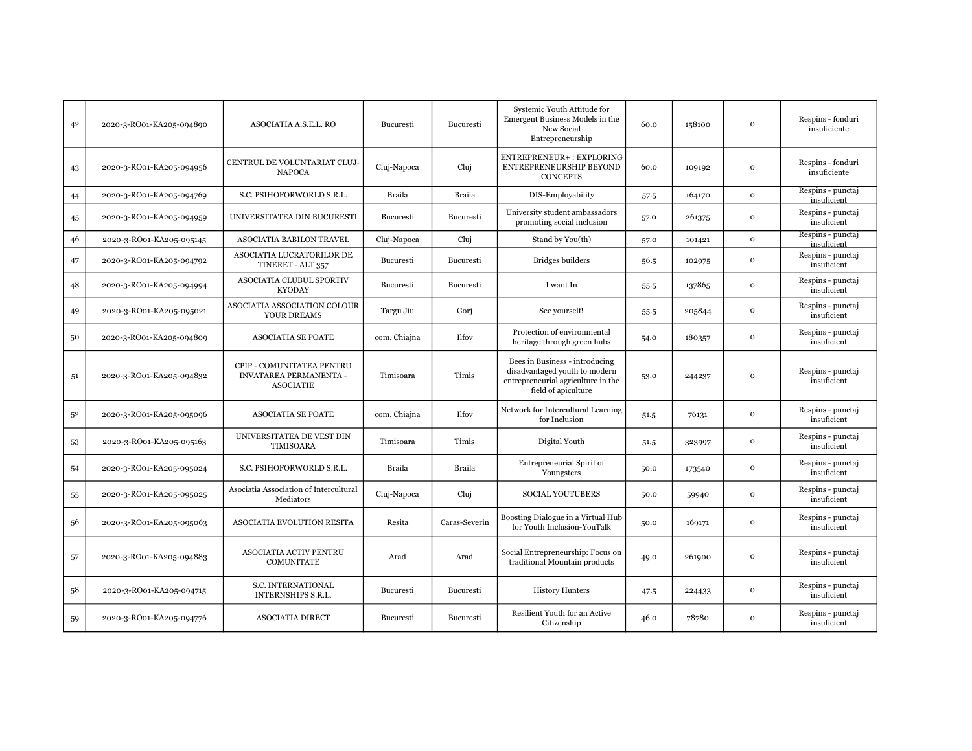| 42 | 2020-3-RO01-KA205-094890 | ASOCIATIA A.S.E.L. RO                                                   | Bucuresti     | Bucuresti     | Systemic Youth Attitude for<br>Emergent Business Models in the<br>New Social<br>Entrepreneurship                             | 60.0   | 158100 | $\Omega$     | Respins - fonduri<br>insuficiente |
|----|--------------------------|-------------------------------------------------------------------------|---------------|---------------|------------------------------------------------------------------------------------------------------------------------------|--------|--------|--------------|-----------------------------------|
| 43 | 2020-3-RO01-KA205-094956 | CENTRUL DE VOLUNTARIAT CLUJ-<br><b>NAPOCA</b>                           | Cluj-Napoca   | Cluj          | ENTREPRENEUR+: EXPLORING<br>ENTREPRENEURSHIP BEYOND<br><b>CONCEPTS</b>                                                       | 60.0   | 109192 | $\mathbf{o}$ | Respins - fonduri<br>insuficiente |
| 44 | 2020-3-RO01-KA205-094769 | S.C. PSIHOFORWORLD S.R.L.                                               | <b>Braila</b> | Braila        | DIS-Employability                                                                                                            | 57.5   | 164170 | $\mathbf{o}$ | Respins - punctaj<br>insuficient  |
| 45 | 2020-3-RO01-KA205-094959 | UNIVERSITATEA DIN BUCURESTI                                             | Bucuresti     | Bucuresti     | University student ambassadors<br>promoting social inclusion                                                                 | 57.0   | 261375 | $\mathbf 0$  | Respins - punctaj<br>insuficient  |
| 46 | 2020-3-RO01-KA205-095145 | ASOCIATIA BABILON TRAVEL                                                | Cluj-Napoca   | Cluj          | Stand by You(th)                                                                                                             | 57.0   | 101421 | $\mathbf{o}$ | Respins - punctaj<br>insuficient  |
| 47 | 2020-3-RO01-KA205-094792 | ASOCIATIA LUCRATORILOR DE<br>TINERET - ALT 357                          | Bucuresti     | Bucuresti     | <b>Bridges</b> builders                                                                                                      | 56.5   | 102975 | $\mathbf 0$  | Respins - punctaj<br>insuficient  |
| 48 | 2020-3-RO01-KA205-094994 | ASOCIATIA CLUBUL SPORTIV<br><b>KYODAY</b>                               | Bucuresti     | Bucuresti     | I want In                                                                                                                    | $55-5$ | 137865 | $\Omega$     | Respins - punctaj<br>insuficient  |
| 49 | 2020-3-RO01-KA205-095021 | ASOCIATIA ASSOCIATION COLOUR<br>YOUR DREAMS                             | Targu Jiu     | Gori          | See yourself!                                                                                                                | 55.5   | 205844 | $\mathbf 0$  | Respins - punctaj<br>insuficient  |
| 50 | 2020-3-RO01-KA205-094809 | <b>ASOCIATIA SE POATE</b>                                               | com. Chiajna  | <b>Ilfov</b>  | Protection of environmental<br>heritage through green hubs                                                                   | 54.0   | 180357 | $\mathbf 0$  | Respins - punctaj<br>insuficient  |
| 51 | 2020-3-RO01-KA205-094832 | CPIP - COMUNITATEA PENTRU<br>INVATAREA PERMANENTA -<br><b>ASOCIATIE</b> | Timisoara     | Timis         | Bees in Business - introducing<br>disadvantaged youth to modern<br>entrepreneurial agriculture in the<br>field of apiculture | 53.0   | 244237 | $\Omega$     | Respins - punctaj<br>insuficient  |
| 52 | 2020-3-RO01-KA205-095096 | <b>ASOCIATIA SE POATE</b>                                               | com. Chiajna  | <b>Ilfov</b>  | Network for Intercultural Learning<br>for Inclusion                                                                          | 51.5   | 76131  | $\Omega$     | Respins - punctaj<br>insuficient  |
| 53 | 2020-3-RO01-KA205-095163 | UNIVERSITATEA DE VEST DIN<br><b>TIMISOARA</b>                           | Timisoara     | Timis         | Digital Youth                                                                                                                | 51.5   | 323997 | $\mathbf 0$  | Respins - punctaj<br>insuficient  |
| 54 | 2020-3-RO01-KA205-095024 | S.C. PSIHOFORWORLD S.R.L.                                               | <b>Braila</b> | Braila        | Entrepreneurial Spirit of<br>Youngsters                                                                                      | 50.0   | 173540 | $\mathbf{o}$ | Respins - punctaj<br>insuficient  |
| 55 | 2020-3-RO01-KA205-095025 | Asociatia Association of Intercultural<br>Mediators                     | Cluj-Napoca   | Cluj          | <b>SOCIAL YOUTUBERS</b>                                                                                                      | 50.0   | 59940  | $\mathbf 0$  | Respins - punctaj<br>insuficient  |
| 56 | 2020-3-RO01-KA205-095063 | ASOCIATIA EVOLUTION RESITA                                              | Resita        | Caras-Severin | Boosting Dialogue in a Virtual Hub<br>for Youth Inclusion-YouTalk                                                            | 50.0   | 169171 | $\mathbf 0$  | Respins - punctaj<br>insuficient  |
| 57 | 2020-3-RO01-KA205-094883 | <b>ASOCIATIA ACTIV PENTRU</b><br><b>COMUNITATE</b>                      | Arad          | Arad          | Social Entrepreneurship: Focus on<br>traditional Mountain products                                                           | 49.0   | 261900 | $\Omega$     | Respins - punctaj<br>insuficient  |
| 58 | 2020-3-RO01-KA205-094715 | S.C. INTERNATIONAL<br>INTERNSHIPS S.R.L.                                | Bucuresti     | Bucuresti     | <b>History Hunters</b>                                                                                                       | 47.5   | 224433 | $\mathbf 0$  | Respins - punctaj<br>insuficient  |
| 59 | 2020-3-RO01-KA205-094776 | <b>ASOCIATIA DIRECT</b>                                                 | Bucuresti     | Bucuresti     | Resilient Youth for an Active<br>Citizenship                                                                                 | 46.0   | 78780  | $\Omega$     | Respins - punctaj<br>insuficient  |